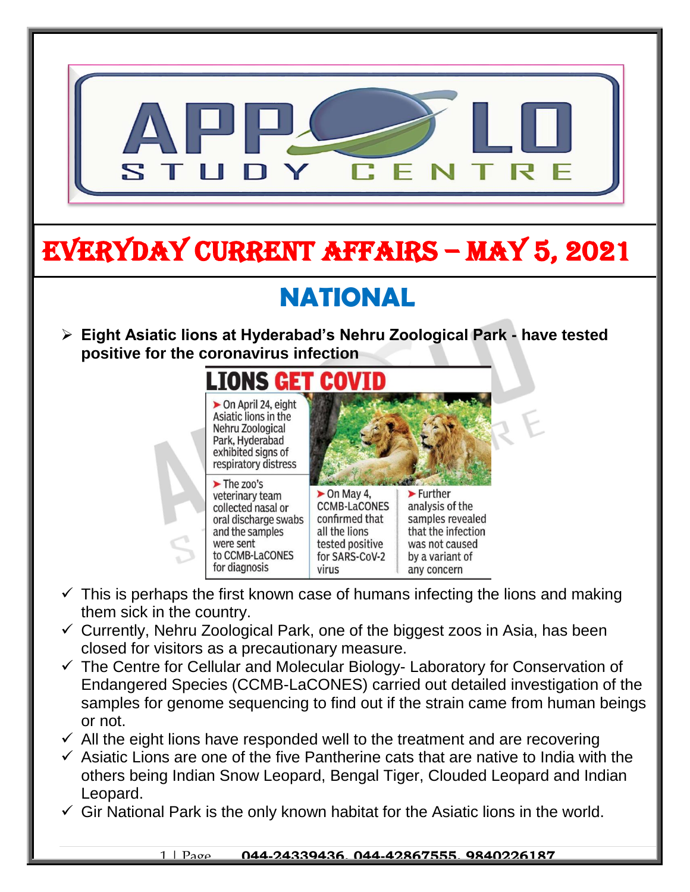

- Endangered Species (CCMB-LaCONES) carried out detailed investigation of the samples for genome sequencing to find out if the strain came from human beings or not.
- $\checkmark$  All the eight lions have responded well to the treatment and are recovering
- $\checkmark$  Asiatic Lions are one of the five Pantherine cats that are native to India with the others being Indian Snow Leopard, Bengal Tiger, Clouded Leopard and Indian Leopard.
- $\checkmark$  Gir National Park is the only known habitat for the Asiatic lions in the world.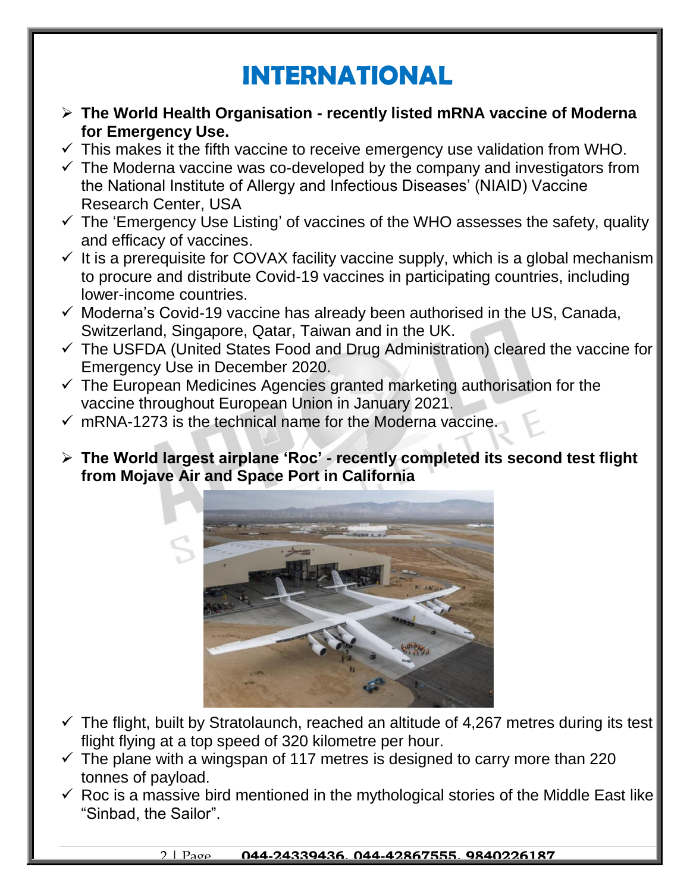## **INTERNATIONAL**

- **The World Health Organisation - recently listed mRNA vaccine of Moderna for Emergency Use.**
- $\checkmark$  This makes it the fifth vaccine to receive emergency use validation from WHO.
- $\checkmark$  The Moderna vaccine was co-developed by the company and investigators from the National Institute of Allergy and Infectious Diseases' (NIAID) Vaccine Research Center, USA
- $\checkmark$  The 'Emergency Use Listing' of vaccines of the WHO assesses the safety, quality and efficacy of vaccines.
- $\checkmark$  It is a prerequisite for COVAX facility vaccine supply, which is a global mechanism to procure and distribute Covid-19 vaccines in participating countries, including lower-income countries.
- $\checkmark$  Moderna's Covid-19 vaccine has already been authorised in the US, Canada, Switzerland, Singapore, Qatar, Taiwan and in the UK.
- $\checkmark$  The USFDA (United States Food and Drug Administration) cleared the vaccine for Emergency Use in December 2020.
- $\checkmark$  The European Medicines Agencies granted marketing authorisation for the vaccine throughout European Union in January 2021.
- $\checkmark$  mRNA-1273 is the technical name for the Moderna vaccine.
- **The World largest airplane 'Roc' - recently completed its second test flight from Mojave Air and Space Port in California**



- $\checkmark$  The flight, built by Stratolaunch, reached an altitude of 4,267 metres during its test flight flying at a top speed of 320 kilometre per hour.
- $\checkmark$  The plane with a wingspan of 117 metres is designed to carry more than 220 tonnes of payload.
- $\checkmark$  Roc is a massive bird mentioned in the mythological stories of the Middle East like "Sinbad, the Sailor".

2 | Page **044-24339436, 044-42867555, 9840226187**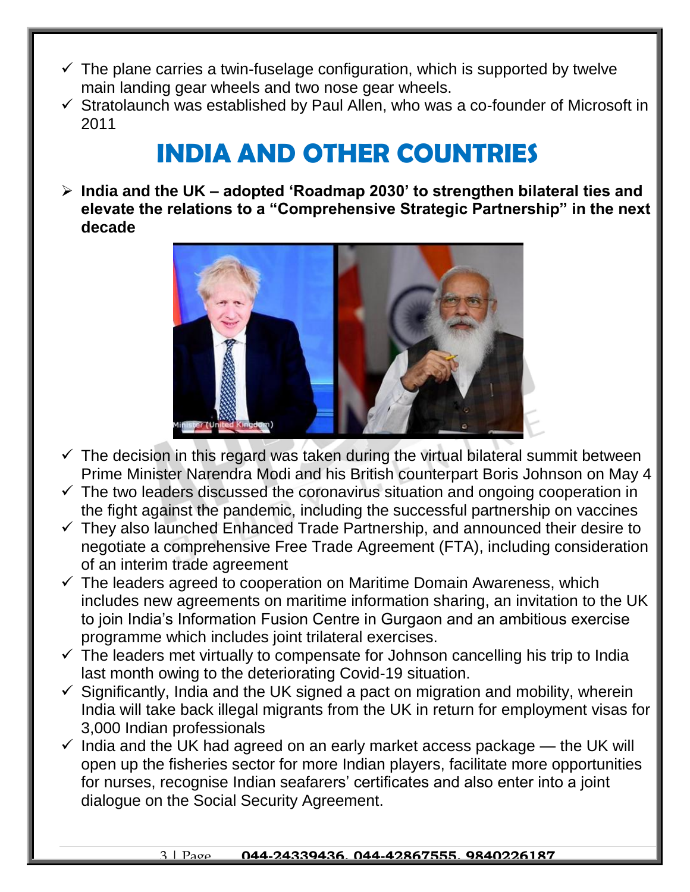- $\checkmark$  The plane carries a twin-fuselage configuration, which is supported by twelve main landing gear wheels and two nose gear wheels.
- $\checkmark$  Stratolaunch was established by Paul Allen, who was a co-founder of Microsoft in 2011

## **INDIA AND OTHER COUNTRIES**

 **India and the UK – adopted 'Roadmap 2030' to strengthen bilateral ties and elevate the relations to a "Comprehensive Strategic Partnership" in the next decade**



- $\checkmark$  The decision in this regard was taken during the virtual bilateral summit between Prime Minister Narendra Modi and his British counterpart Boris Johnson on May 4
- $\checkmark$  The two leaders discussed the coronavirus situation and ongoing cooperation in the fight against the pandemic, including the successful partnership on vaccines
- $\checkmark$  They also launched Enhanced Trade Partnership, and announced their desire to negotiate a comprehensive Free Trade Agreement (FTA), including consideration of an interim trade agreement
- $\checkmark$  The leaders agreed to cooperation on Maritime Domain Awareness, which includes new agreements on maritime information sharing, an invitation to the UK to join India's Information Fusion Centre in Gurgaon and an ambitious exercise programme which includes joint trilateral exercises.
- $\checkmark$  The leaders met virtually to compensate for Johnson cancelling his trip to India last month owing to the deteriorating Covid-19 situation.
- $\checkmark$  Significantly, India and the UK signed a pact on migration and mobility, wherein India will take back illegal migrants from the UK in return for employment visas for 3,000 Indian professionals
- $\checkmark$  India and the UK had agreed on an early market access package the UK will open up the fisheries sector for more Indian players, facilitate more opportunities for nurses, recognise Indian seafarers' certificates and also enter into a joint dialogue on the Social Security Agreement.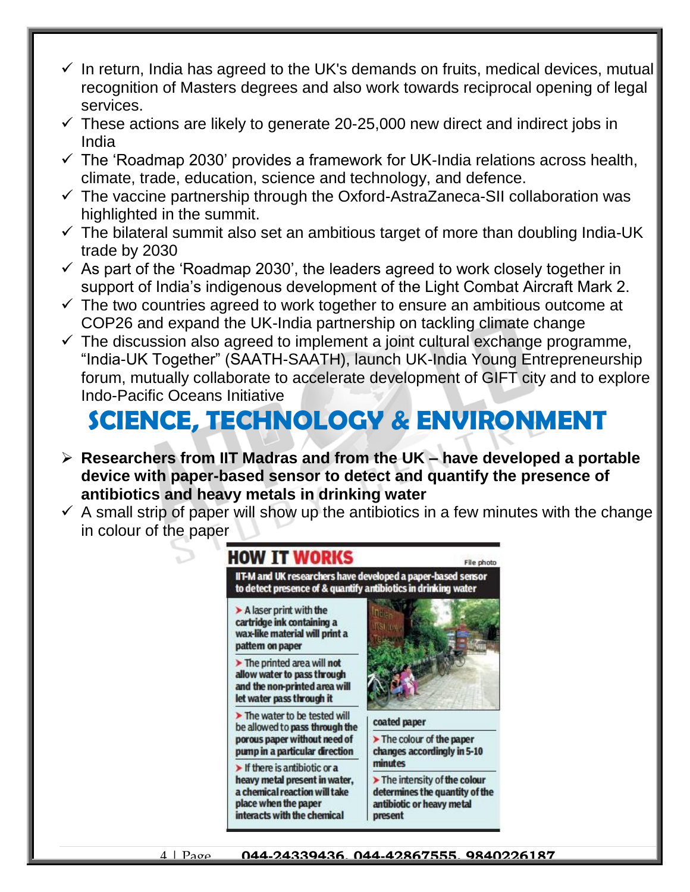- $\checkmark$  In return, India has agreed to the UK's demands on fruits, medical devices, mutual recognition of Masters degrees and also work towards reciprocal opening of legal services.
- $\checkmark$  These actions are likely to generate 20-25,000 new direct and indirect jobs in India
- $\checkmark$  The 'Roadmap 2030' provides a framework for UK-India relations across health, climate, trade, education, science and technology, and defence.
- $\checkmark$  The vaccine partnership through the Oxford-AstraZaneca-SII collaboration was highlighted in the summit.
- $\checkmark$  The bilateral summit also set an ambitious target of more than doubling India-UK trade by 2030
- $\checkmark$  As part of the 'Roadmap 2030', the leaders agreed to work closely together in support of India's indigenous development of the Light Combat Aircraft Mark 2.
- $\checkmark$  The two countries agreed to work together to ensure an ambitious outcome at COP26 and expand the UK-India partnership on tackling climate change
- $\checkmark$  The discussion also agreed to implement a joint cultural exchange programme, "India-UK Together" (SAATH-SAATH), launch UK-India Young Entrepreneurship forum, mutually collaborate to accelerate development of GIFT city and to explore Indo-Pacific Oceans Initiative

# **SCIENCE, TECHNOLOGY & ENVIRONMENT**

- **Researchers from IIT Madras and from the UK – have developed a portable device with paper-based sensor to detect and quantify the presence of antibiotics and heavy metals in drinking water**
- $\checkmark$  A small strip of paper will show up the antibiotics in a few minutes with the change in colour of the paper



4 | Page **044-24339436, 044-42867555, 9840226187**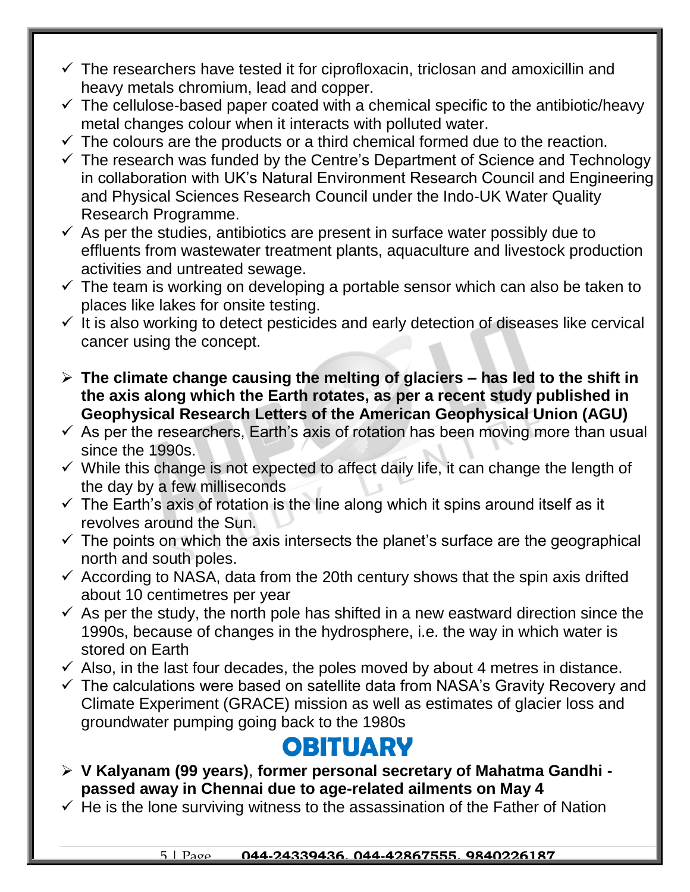- $\checkmark$  The researchers have tested it for ciprofloxacin, triclosan and amoxicillin and heavy metals chromium, lead and copper.
- $\checkmark$  The cellulose-based paper coated with a chemical specific to the antibiotic/heavy metal changes colour when it interacts with polluted water.
- $\checkmark$  The colours are the products or a third chemical formed due to the reaction.
- $\checkmark$  The research was funded by the Centre's Department of Science and Technology in collaboration with UK's Natural Environment Research Council and Engineering and Physical Sciences Research Council under the Indo-UK Water Quality Research Programme.
- $\checkmark$  As per the studies, antibiotics are present in surface water possibly due to effluents from wastewater treatment plants, aquaculture and livestock production activities and untreated sewage.
- $\checkmark$  The team is working on developing a portable sensor which can also be taken to places like lakes for onsite testing.
- $\checkmark$  It is also working to detect pesticides and early detection of diseases like cervical cancer using the concept.
- **The climate change causing the melting of glaciers – has led to the shift in the axis along which the Earth rotates, as per a recent study published in Geophysical Research Letters of the American Geophysical Union (AGU)**
- $\checkmark$  As per the researchers, Earth's axis of rotation has been moving more than usual since the 1990s.
- $\checkmark$  While this change is not expected to affect daily life, it can change the length of the day by a few milliseconds
- $\checkmark$  The Earth's axis of rotation is the line along which it spins around itself as it revolves around the Sun.
- $\checkmark$  The points on which the axis intersects the planet's surface are the geographical north and south poles.
- $\checkmark$  According to NASA, data from the 20th century shows that the spin axis drifted about 10 centimetres per year
- $\checkmark$  As per the study, the north pole has shifted in a new eastward direction since the 1990s, because of changes in the hydrosphere, i.e. the way in which water is stored on Earth
- $\checkmark$  Also, in the last four decades, the poles moved by about 4 metres in distance.
- $\checkmark$  The calculations were based on satellite data from NASA's Gravity Recovery and Climate Experiment (GRACE) mission as well as estimates of glacier loss and groundwater pumping going back to the 1980s

### **OBITUARY**

- **V Kalyanam (99 years)**, **former personal secretary of Mahatma Gandhi passed away in Chennai due to age-related ailments on May 4**
- $\checkmark$  He is the lone surviving witness to the assassination of the Father of Nation